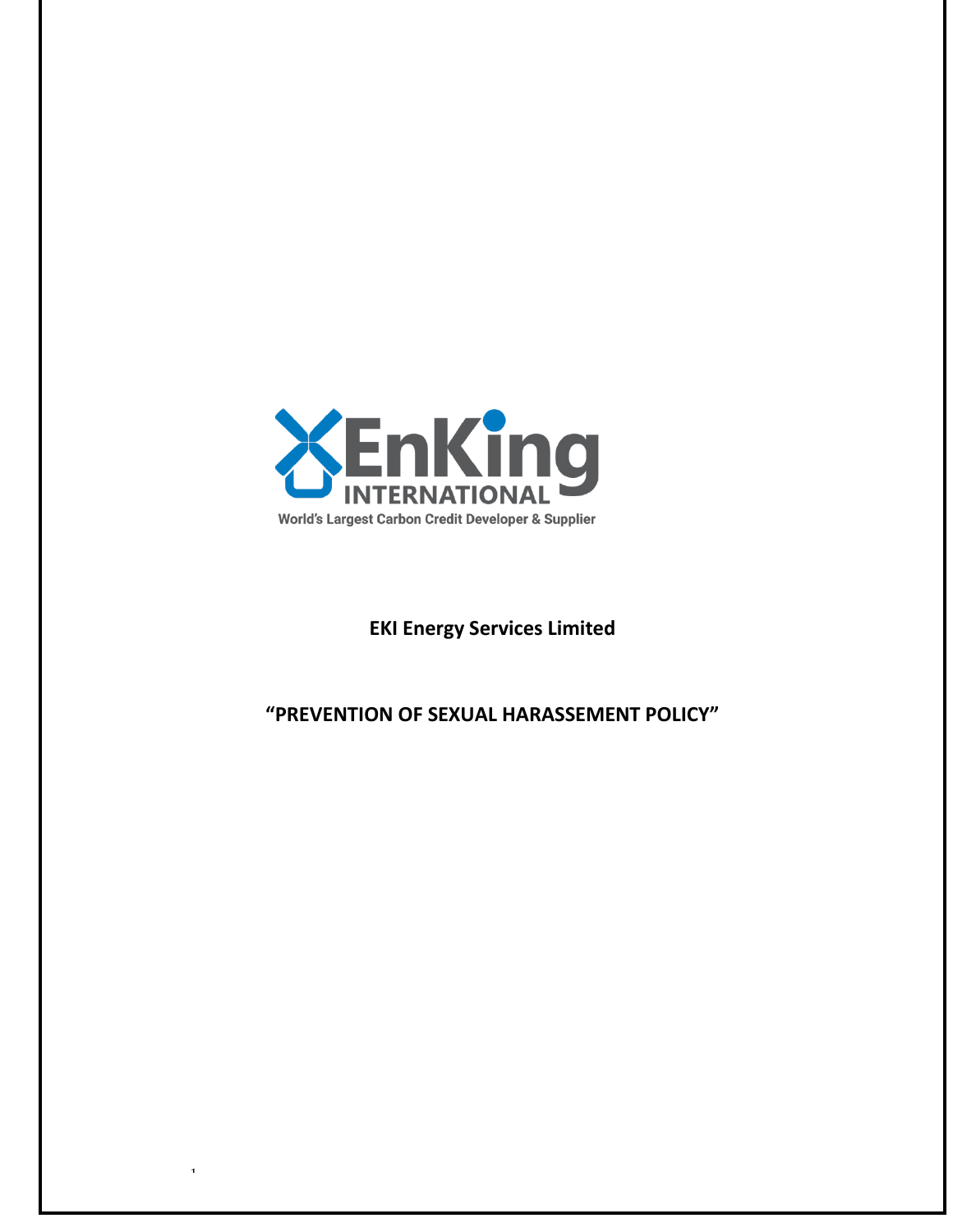

1

# **EKI Energy Services Limited**

# **"PREVENTION OF SEXUAL HARASSEMENT POLICY"**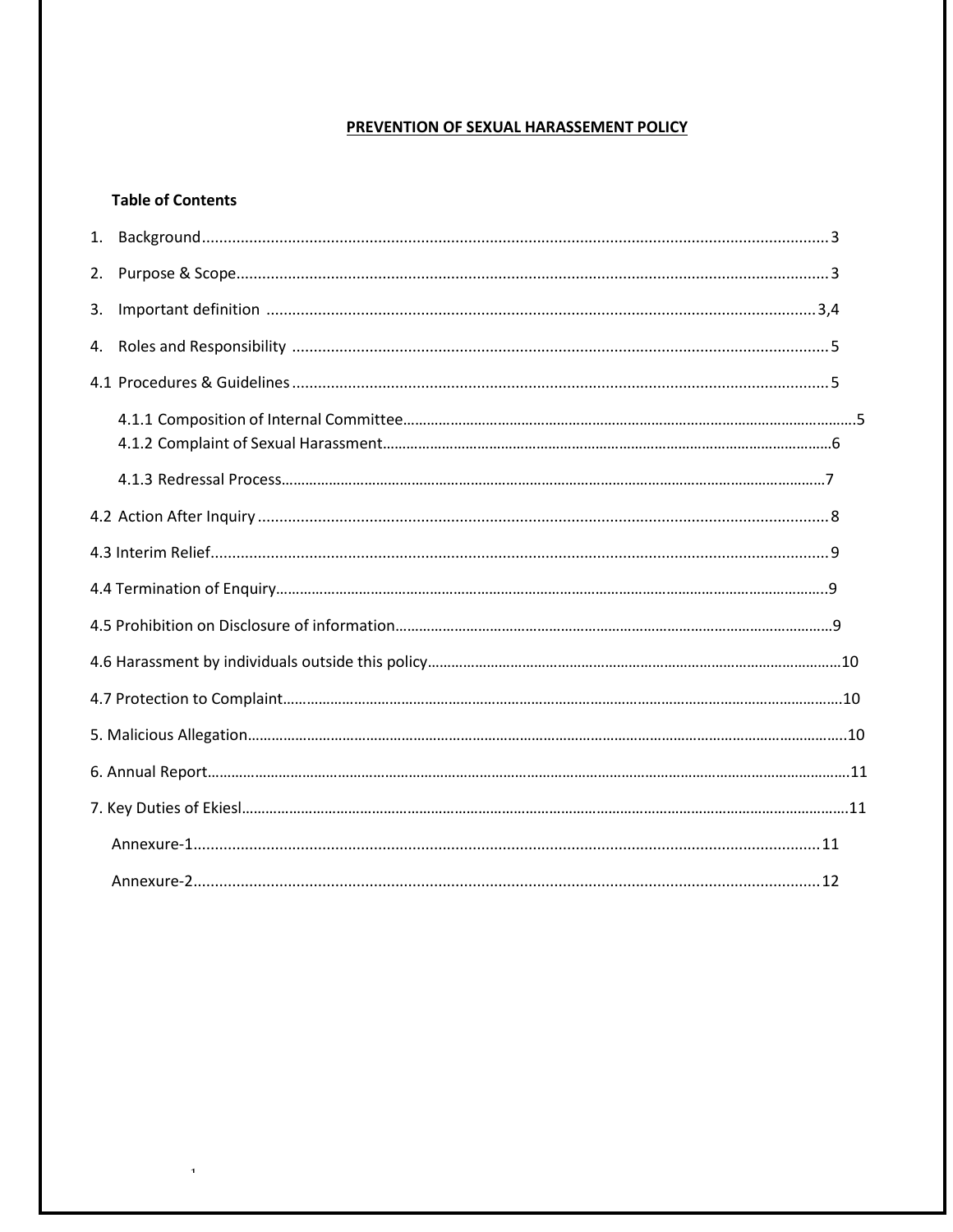#### PREVENTION OF SEXUAL HARASSEMENT POLICY

# **Table of Contents**

 $\bar{\bf 1}$ 

| 2. |  |
|----|--|
| 3. |  |
| 4. |  |
|    |  |
|    |  |
|    |  |
|    |  |
|    |  |
|    |  |
|    |  |
|    |  |
|    |  |
|    |  |
|    |  |
|    |  |
|    |  |
|    |  |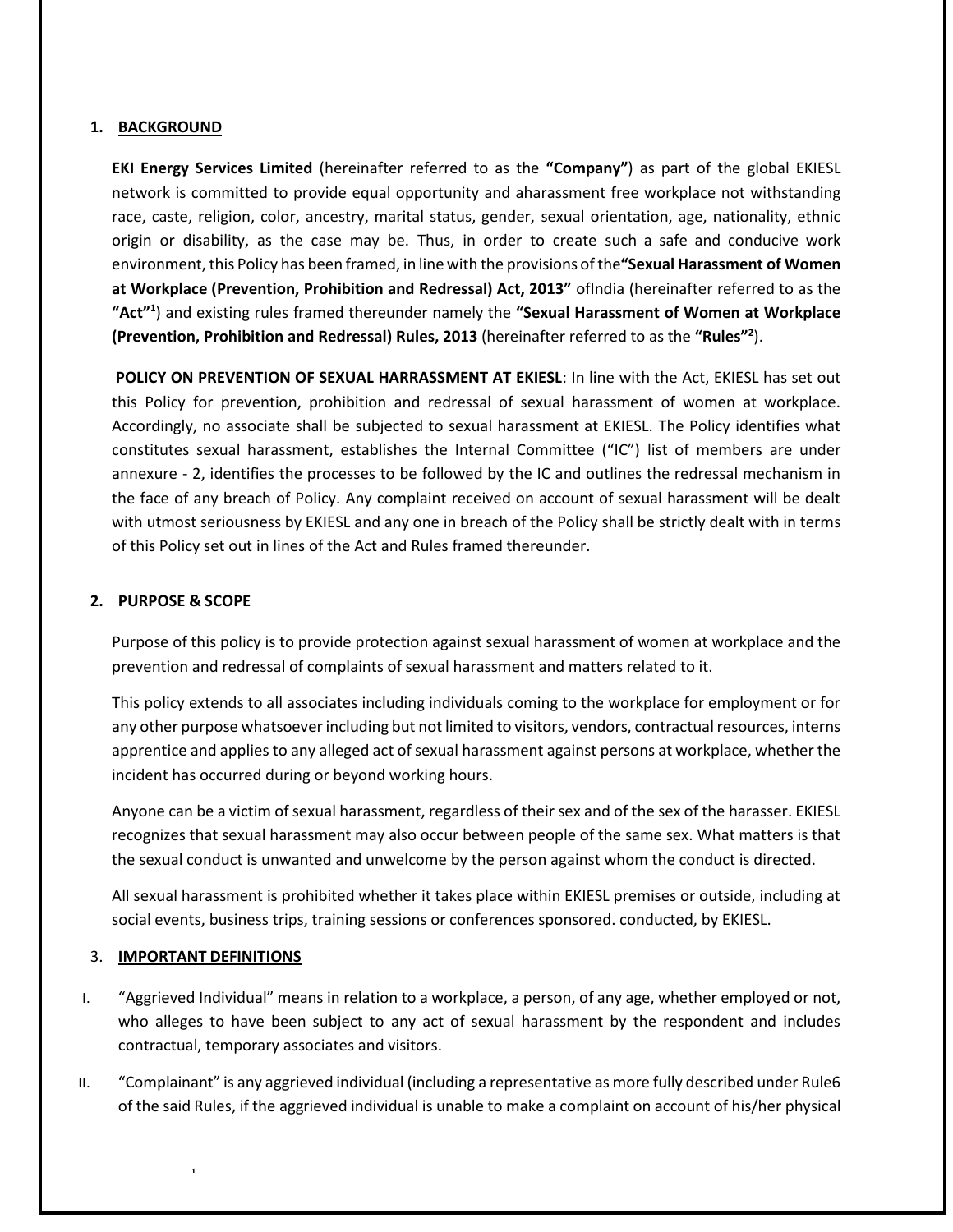#### **1. BACKGROUND**

**EKI Energy Services Limited** (hereinafter referred to as the **"Company"**) as part of the global EKIESL network is committed to provide equal opportunity and aharassment free workplace not withstanding race, caste, religion, color, ancestry, marital status, gender, sexual orientation, age, nationality, ethnic origin or disability, as the case may be. Thus, in order to create such a safe and conducive work environment, this Policy has been framed, in line with the provisions of the "Sexual Harassment of Women **at Workplace (Prevention, Prohibition and Redressal) Act, 2013"** ofIndia (hereinafter referred to as the **"Act"<sup>1</sup>** ) and existing rules framed thereunder namely the **"Sexual Harassment of Women at Workplace (Prevention, Prohibition and Redressal) Rules, 2013** (hereinafter referred to as the **"Rules"<sup>2</sup>** ).

**POLICY ON PREVENTION OF SEXUAL HARRASSMENT AT EKIESL**: In line with the Act, EKIESL has set out this Policy for prevention, prohibition and redressal of sexual harassment of women at workplace. Accordingly, no associate shall be subjected to sexual harassment at EKIESL. The Policy identifies what constitutes sexual harassment, establishes the Internal Committee ("IC") list of members are under annexure - 2, identifies the processes to be followed by the IC and outlines the redressal mechanism in the face of any breach of Policy. Any complaint received on account of sexual harassment will be dealt with utmost seriousness by EKIESL and any one in breach of the Policy shall be strictly dealt with in terms of this Policy set out in lines of the Act and Rules framed thereunder.

#### <span id="page-2-0"></span>**2. PURPOSE & SCOPE**

<span id="page-2-1"></span>Purpose of this policy is to provide protection against sexual harassment of women at workplace and the prevention and redressal of complaints of sexual harassment and matters related to it.

This policy extends to all associates including individuals coming to the workplace for employment or for any other purpose whatsoever including but not limited to visitors, vendors, contractual resources, interns apprentice and applies to any alleged act of sexual harassment against persons at workplace, whether the incident has occurred during or beyond working hours.

Anyone can be a victim of sexual harassment, regardless of their sex and of the sex of the harasser. EKIESL recognizes that sexual harassment may also occur between people of the same sex. What matters is that the sexual conduct is unwanted and unwelcome by the person against whom the conduct is directed.

All sexual harassment is prohibited whether it takes place within EKIESL premises or outside, including at social events, business trips, training sessions or conferences sponsored. conducted, by EKIESL.

#### 3. **IMPORTANT DEFINITIONS**

- I. "Aggrieved Individual" means in relation to a workplace, a person, of any age, whether employed or not, who alleges to have been subject to any act of sexual harassment by the respondent and includes contractual, temporary associates and visitors.
- II. "Complainant" is any aggrieved individual (including a representative as more fully described under Rule6 of the said Rules, if the aggrieved individual is unable to make a complaint on account of his/her physical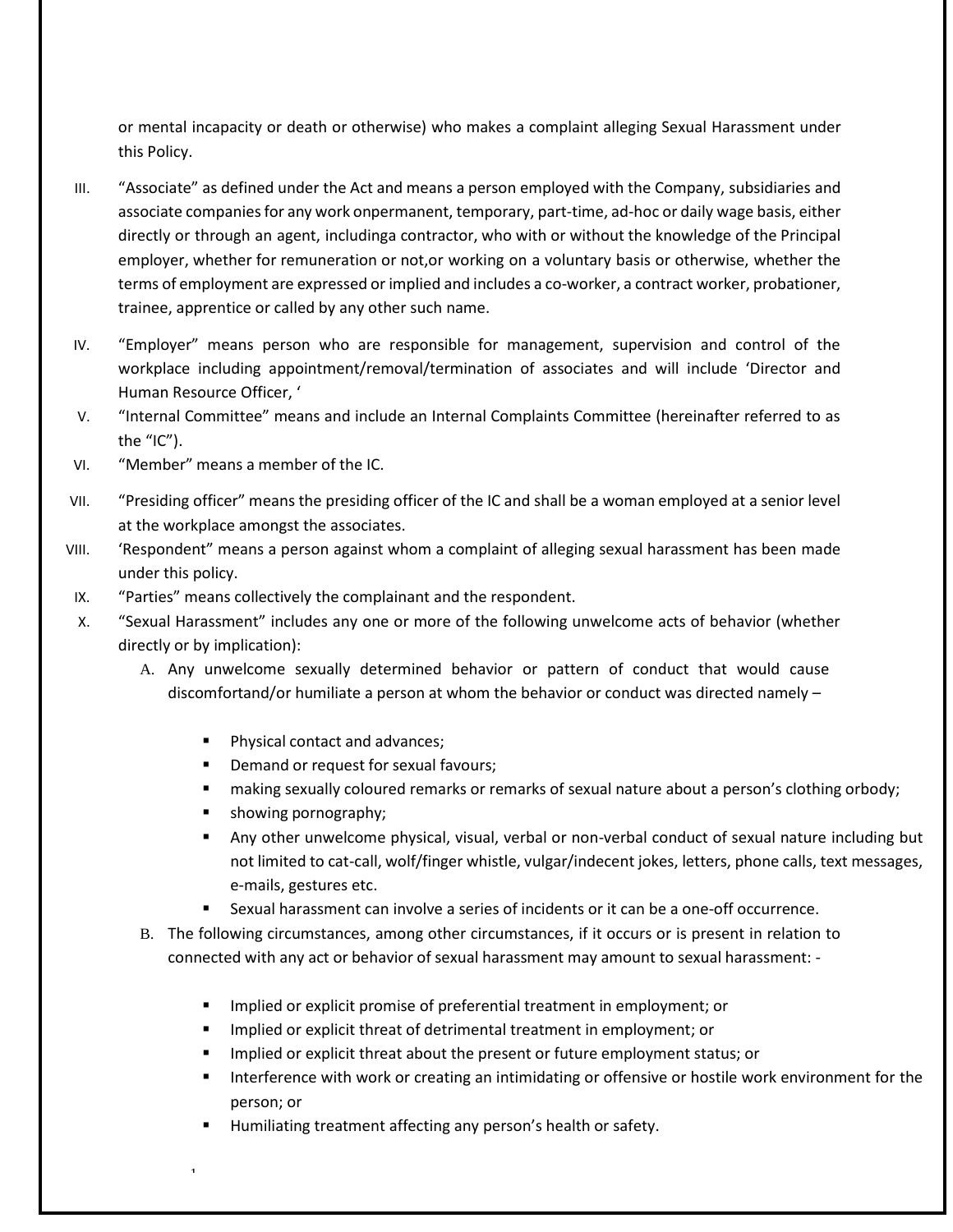or mental incapacity or death or otherwise) who makes a complaint alleging Sexual Harassment under this Policy.

- III. "Associate" as defined under the Act and means a person employed with the Company, subsidiaries and associate companies for any work onpermanent, temporary, part-time, ad-hoc or daily wage basis, either directly or through an agent, includinga contractor, who with or without the knowledge of the Principal employer, whether for remuneration or not,or working on a voluntary basis or otherwise, whether the terms of employment are expressed or implied and includes a co-worker, a contract worker, probationer, trainee, apprentice or called by any other such name.
- IV. "Employer" means person who are responsible for management, supervision and control of the workplace including appointment/removal/termination of associates and will include 'Director and Human Resource Officer, '
- V. "Internal Committee" means and include an Internal Complaints Committee (hereinafter referred to as the "IC").
- VI. "Member" means a member of the IC.
- VII. "Presiding officer" means the presiding officer of the IC and shall be a woman employed at a senior level at the workplace amongst the associates.
- VIII. 'Respondent" means a person against whom a complaint of alleging sexual harassment has been made under this policy.
- IX. "Parties" means collectively the complainant and the respondent.
- X. "Sexual Harassment" includes any one or more of the following unwelcome acts of behavior (whether directly or by implication):
	- A. Any unwelcome sexually determined behavior or pattern of conduct that would cause discomfortand/or humiliate a person at whom the behavior or conduct was directed namely –
		- Physical contact and advances;
		- Demand or request for sexual favours;
		- making sexually coloured remarks or remarks of sexual nature about a person's clothing orbody;
		- showing pornography;

- Any other unwelcome physical, visual, verbal or non-verbal conduct of sexual nature including but not limited to cat-call, wolf/finger whistle, vulgar/indecent jokes, letters, phone calls, text messages, e-mails, gestures etc.
- Sexual harassment can involve a series of incidents or it can be a one-off occurrence.
- B. The following circumstances, among other circumstances, if it occurs or is present in relation to connected with any act or behavior of sexual harassment may amount to sexual harassment: -
	- Implied or explicit promise of preferential treatment in employment; or
	- Implied or explicit threat of detrimental treatment in employment; or
	- Implied or explicit threat about the present or future employment status; or
	- Interference with work or creating an intimidating or offensive or hostile work environment for the person; or
	- Humiliating treatment affecting any person's health or safety.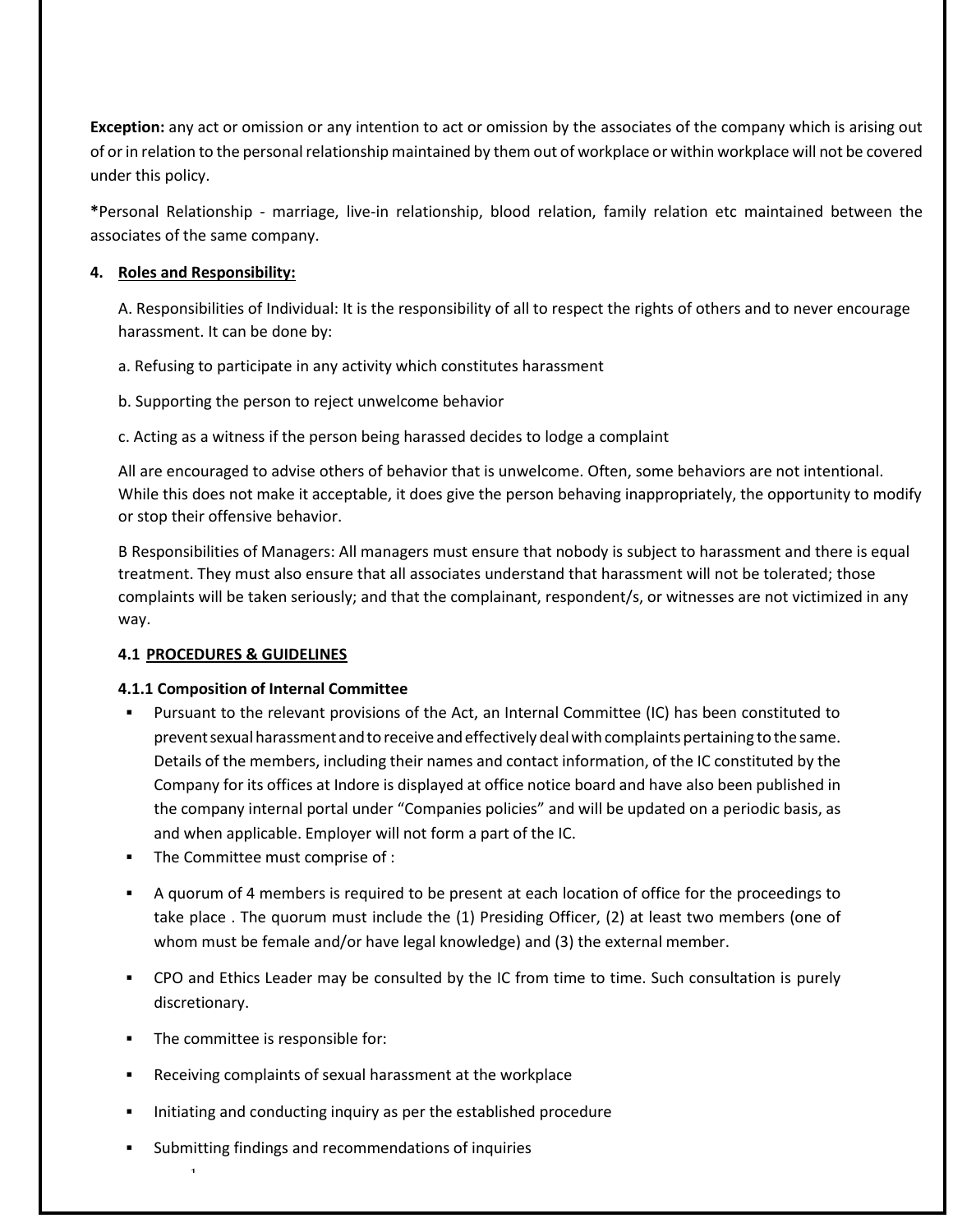**Exception:** any act or omission or any intention to act or omission by the associates of the company which is arising out of or in relation to the personal relationship maintained by them out of workplace or within workplace will not be covered under this policy.

**\***Personal Relationship - marriage, live-in relationship, blood relation, family relation etc maintained between the associates of the same company.

# **4. Roles and Responsibility:**

A. Responsibilities of Individual: It is the responsibility of all to respect the rights of others and to never encourage harassment. It can be done by:

- a. Refusing to participate in any activity which constitutes harassment
- b. Supporting the person to reject unwelcome behavior
- c. Acting as a witness if the person being harassed decides to lodge a complaint

All are encouraged to advise others of behavior that is unwelcome. Often, some behaviors are not intentional. While this does not make it acceptable, it does give the person behaving inappropriately, the opportunity to modify or stop their offensive behavior.

B Responsibilities of Managers: All managers must ensure that nobody is subject to harassment and there is equal treatment. They must also ensure that all associates understand that harassment will not be tolerated; those complaints will be taken seriously; and that the complainant, respondent/s, or witnesses are not victimized in any way.

# <span id="page-4-0"></span>**4.1 PROCEDURES & GUIDELINES**

#### <span id="page-4-1"></span>**4.1.1 Composition of Internal Committee**

- Pursuant to the relevant provisions of the Act, an Internal Committee (IC) has been constituted to prevent sexual harassment and to receive and effectively deal with complaints pertaining to the same. Details of the members, including their names and contact information, of the IC constituted by the Company for its offices at Indore is displayed at office notice board and have also been published in the company internal portal under "Companies policies" and will be updated on a periodic basis, as and when applicable. Employer will not form a part of the IC.
- The Committee must comprise of :
- A quorum of 4 members is required to be present at each location of office for the proceedings to take place . The quorum must include the (1) Presiding Officer, (2) at least two members (one of whom must be female and/or have legal knowledge) and (3) the external member.
- CPO and Ethics Leader may be consulted by the IC from time to time. Such consultation is purely discretionary.
- The committee is responsible for:

- Receiving complaints of sexual harassment at the workplace
- Initiating and conducting inquiry as per the established procedure
- Submitting findings and recommendations of inquiries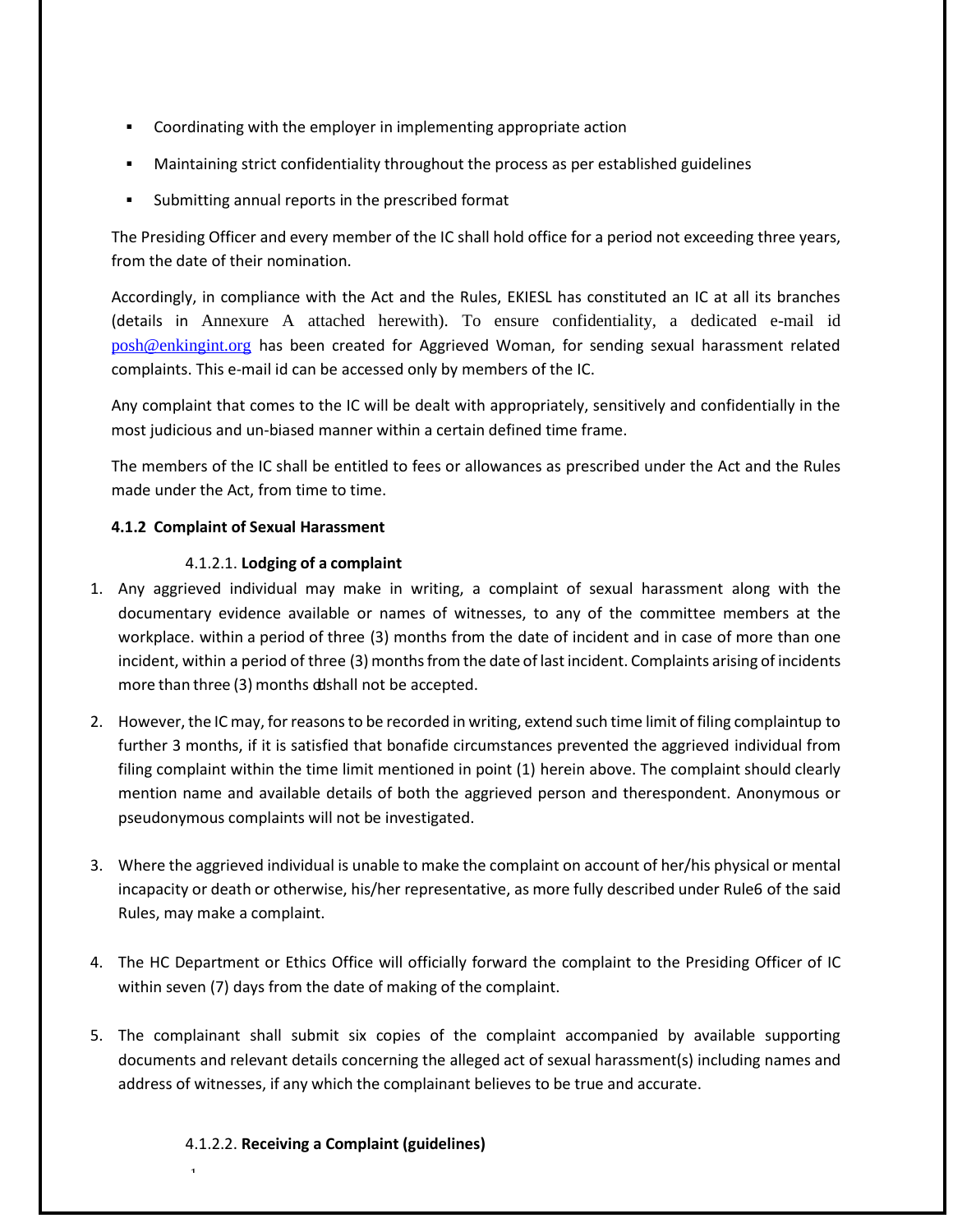- Coordinating with the employer in implementing appropriate action
- Maintaining strict confidentiality throughout the process as per established guidelines
- Submitting annual reports in the prescribed format

The Presiding Officer and every member of the IC shall hold office for a period not exceeding three years, from the date of their nomination.

Accordingly, in compliance with the Act and the Rules, EKIESL has constituted an IC at all its branches (details in Annexure A attached herewith). To ensure confidentiality, a dedicated e-mail id [posh@enkingint.org](mailto:posh@enkingint.org) has been created for Aggrieved Woman, for sending sexual harassment related complaints. This e-mail id can be accessed only by members of the IC.

 Any complaint that comes to the IC will be dealt with appropriately, sensitively and confidentially in the most judicious and un-biased manner within a certain defined time frame.

The members of the IC shall be entitled to fees or allowances as prescribed under the Act and the Rules made under the Act, from time to time.

# **4.1.2 Complaint of Sexual Harassment**

# 4.1.2.1. **Lodging of a complaint**

- 1. Any aggrieved individual may make in writing, a complaint of sexual harassment along with the documentary evidence available or names of witnesses, to any of the committee members at the workplace. within a period of three (3) months from the date of incident and in case of more than one incident, within a period of three (3) months from the date of last incident. Complaints arising of incidents more than three (3) months ddshall not be accepted.
- 2. However, the IC may, forreasonsto be recorded in writing, extend such time limit of filing complaintup to further 3 months, if it is satisfied that bonafide circumstances prevented the aggrieved individual from filing complaint within the time limit mentioned in point (1) herein above. The complaint should clearly mention name and available details of both the aggrieved person and therespondent. Anonymous or pseudonymous complaints will not be investigated.
- 3. Where the aggrieved individual is unable to make the complaint on account of her/his physical or mental incapacity or death or otherwise, his/her representative, as more fully described under Rule6 of the said Rules, may make a complaint.
- 4. The HC Department or Ethics Office will officially forward the complaint to the Presiding Officer of IC within seven (7) days from the date of making of the complaint.
- 5. The complainant shall submit six copies of the complaint accompanied by available supporting documents and relevant details concerning the alleged act of sexual harassment(s) including names and address of witnesses, if any which the complainant believes to be true and accurate.

#### 4.1.2.2. **Receiving a Complaint (guidelines)**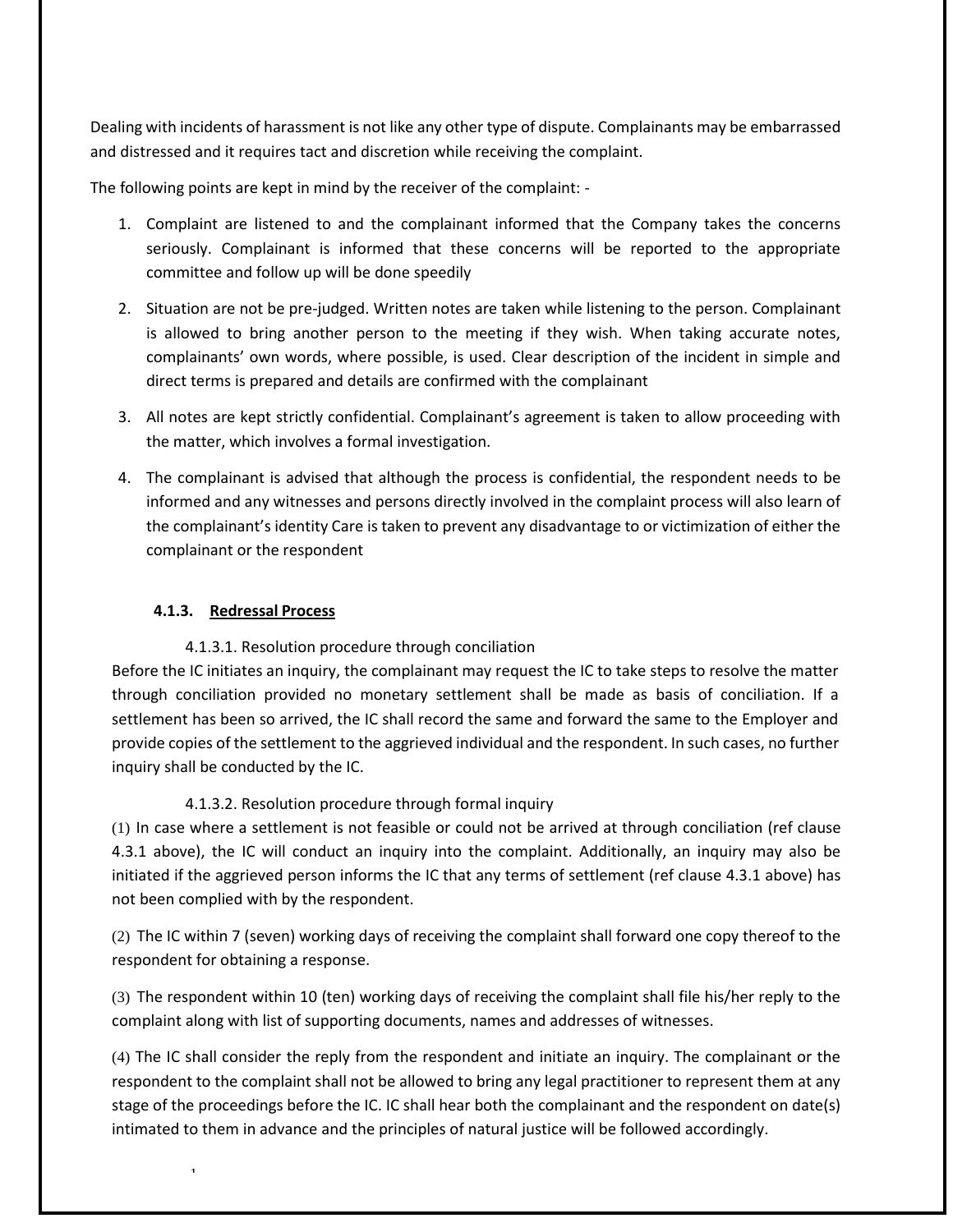Dealing with incidents of harassment is not like any other type of dispute. Complainants may be embarrassed and distressed and it requires tact and discretion while receiving the complaint.

The following points are kept in mind by the receiver of the complaint: -

- 1. Complaint are listened to and the complainant informed that the Company takes the concerns seriously. Complainant is informed that these concerns will be reported to the appropriate committee and follow up will be done speedily
- 2. Situation are not be pre-judged. Written notes are taken while listening to the person. Complainant is allowed to bring another person to the meeting if they wish. When taking accurate notes, complainants' own words, where possible, is used. Clear description of the incident in simple and direct terms is prepared and details are confirmed with the complainant
- 3. All notes are kept strictly confidential. Complainant's agreement is taken to allow proceeding with the matter, which involves a formal investigation.
- 4. The complainant is advised that although the process is confidential, the respondent needs to be informed and any witnesses and persons directly involved in the complaint process will also learn of the complainant's identity Care is taken to prevent any disadvantage to or victimization of either the complainant or the respondent

#### **4.1.3. Redressal Process**

1

#### 4.1.3.1. Resolution procedure through conciliation

Before the IC initiates an inquiry, the complainant may request the IC to take steps to resolve the matter through conciliation provided no monetary settlement shall be made as basis of conciliation. If a settlement has been so arrived, the IC shall record the same and forward the same to the Employer and provide copies of the settlement to the aggrieved individual and the respondent. In such cases, no further inquiry shall be conducted by the IC.

#### 4.1.3.2. Resolution procedure through formal inquiry

(1) In case where a settlement is not feasible or could not be arrived at through conciliation (ref clause 4.3.1 above), the IC will conduct an inquiry into the complaint. Additionally, an inquiry may also be initiated if the aggrieved person informs the IC that any terms of settlement (ref clause 4.3.1 above) has not been complied with by the respondent.

(2) The IC within 7 (seven) working days of receiving the complaint shall forward one copy thereof to the respondent for obtaining a response.

(3) The respondent within 10 (ten) working days of receiving the complaint shall file his/her reply to the complaint along with list of supporting documents, names and addresses of witnesses.

(4) The IC shall consider the reply from the respondent and initiate an inquiry. The complainant or the respondent to the complaint shall not be allowed to bring any legal practitioner to represent them at any stage of the proceedings before the IC. IC shall hear both the complainant and the respondent on date(s) intimated to them in advance and the principles of natural justice will be followed accordingly.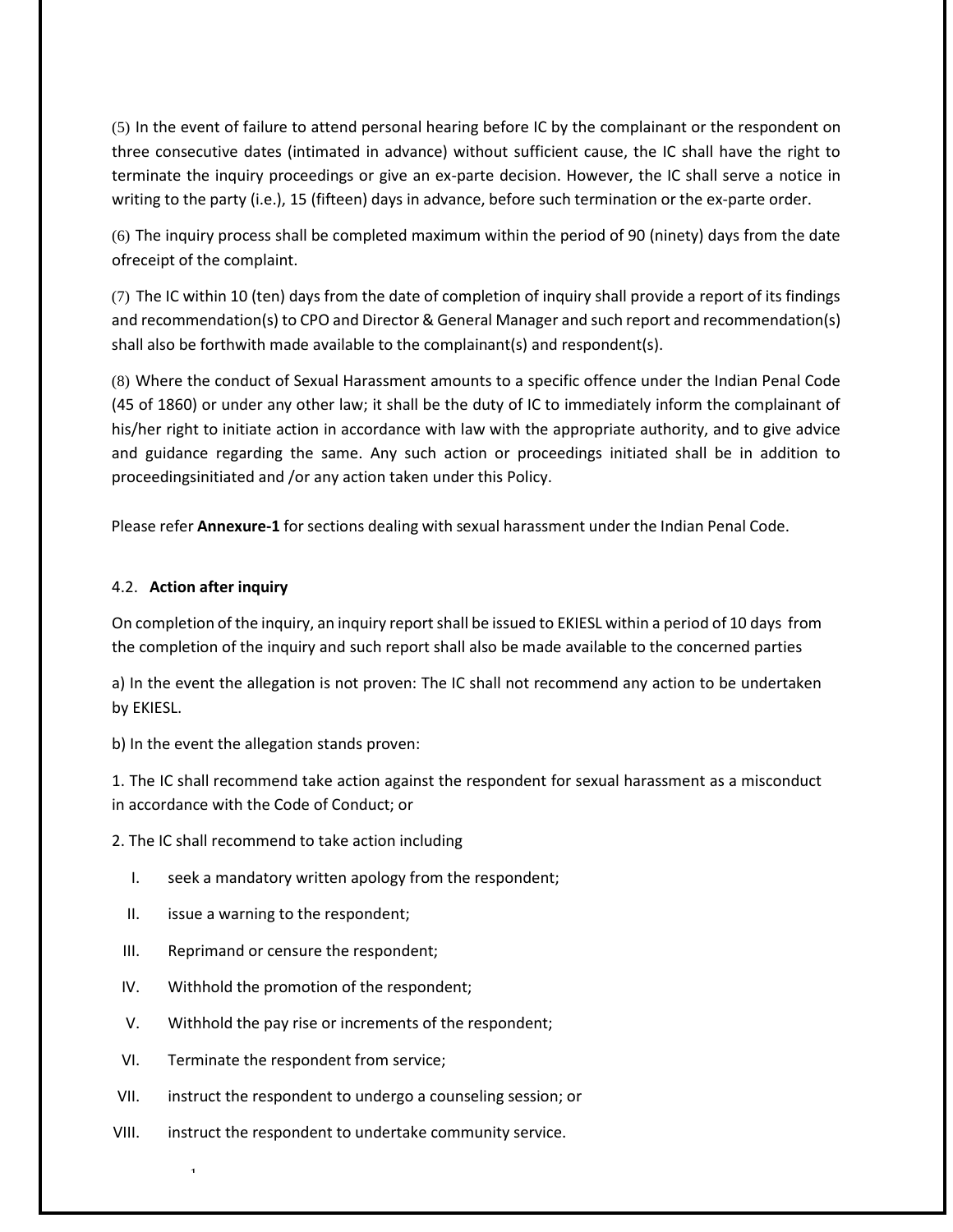(5) In the event of failure to attend personal hearing before IC by the complainant or the respondent on three consecutive dates (intimated in advance) without sufficient cause, the IC shall have the right to terminate the inquiry proceedings or give an ex-parte decision. However, the IC shall serve a notice in writing to the party (i.e.), 15 (fifteen) days in advance, before such termination or the ex-parte order.

(6) The inquiry process shall be completed maximum within the period of 90 (ninety) days from the date ofreceipt of the complaint.

(7) The IC within 10 (ten) days from the date of completion of inquiry shall provide a report of its findings and recommendation(s) to CPO and Director & General Manager and such report and recommendation(s) shall also be forthwith made available to the complainant(s) and respondent(s).

(8) Where the conduct of Sexual Harassment amounts to a specific offence under the Indian Penal Code (45 of 1860) or under any other law; it shall be the duty of IC to immediately inform the complainant of his/her right to initiate action in accordance with law with the appropriate authority, and to give advice and guidance regarding the same. Any such action or proceedings initiated shall be in addition to proceedingsinitiated and /or any action taken under this Policy.

Please refer **Annexure-1** for sections dealing with sexual harassment under the Indian Penal Code.

# 4.2. **Action after inquiry**

On completion of the inquiry, an inquiry report shall be issued to EKIESL within a period of 10 days from the completion of the inquiry and such report shall also be made available to the concerned parties

a) In the event the allegation is not proven: The IC shall not recommend any action to be undertaken by EKIESL.

b) In the event the allegation stands proven:

1. The IC shall recommend take action against the respondent for sexual harassment as a misconduct in accordance with the Code of Conduct; or

2. The IC shall recommend to take action including

- I. seek a mandatory written apology from the respondent;
- II. issue a warning to the respondent;
- III. Reprimand or censure the respondent;
- IV. Withhold the promotion of the respondent;
- V. Withhold the pay rise or increments of the respondent;
- VI. Terminate the respondent from service;

- VII. instruct the respondent to undergo a counseling session; or
- VIII. instruct the respondent to undertake community service.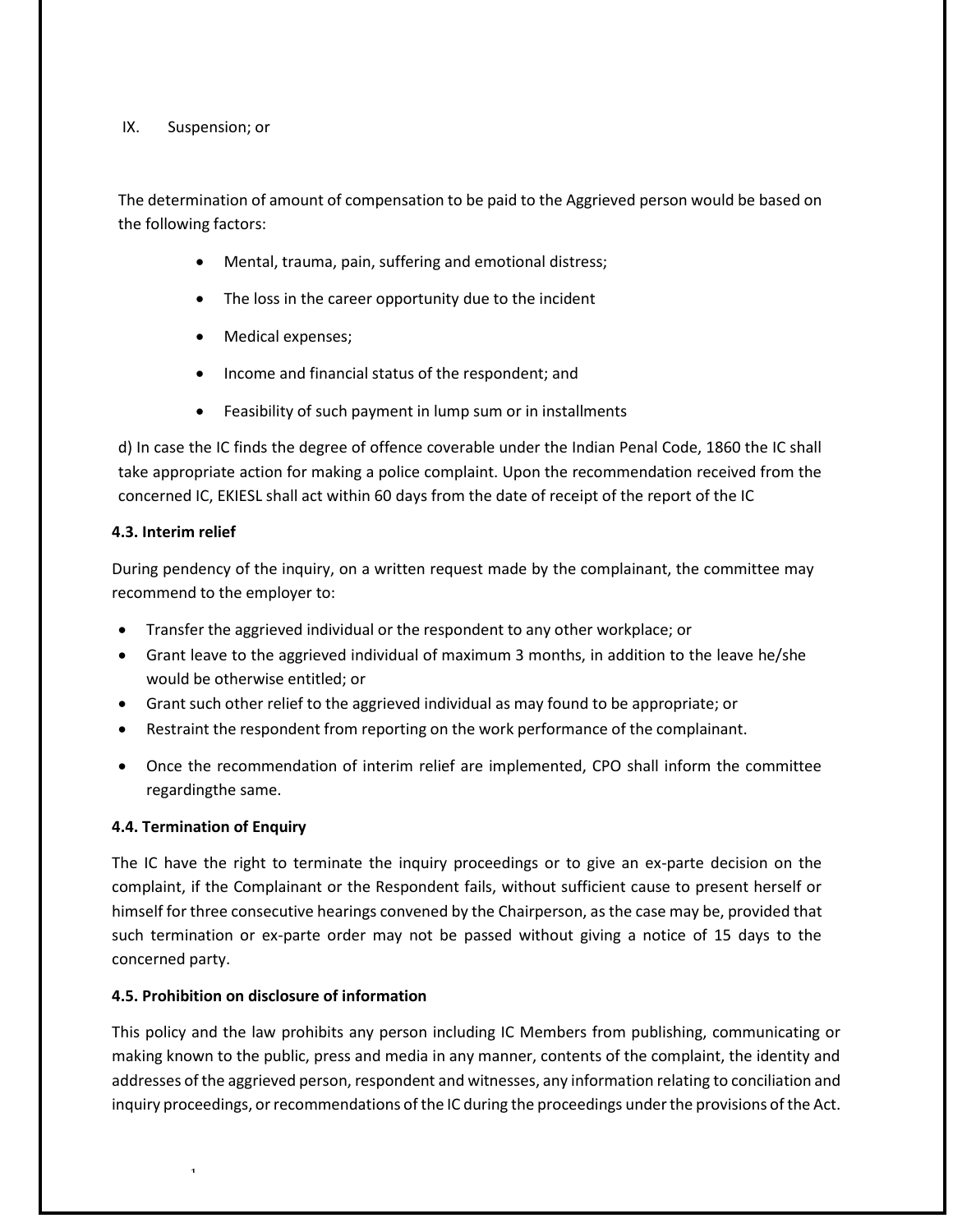#### IX. Suspension; or

The determination of amount of compensation to be paid to the Aggrieved person would be based on the following factors:

- Mental, trauma, pain, suffering and emotional distress;
- The loss in the career opportunity due to the incident
- Medical expenses;
- Income and financial status of the respondent; and
- Feasibility of such payment in lump sum or in installments

d) In case the IC finds the degree of offence coverable under the Indian Penal Code, 1860 the IC shall take appropriate action for making a police complaint. Upon the recommendation received from the concerned IC, EKIESL shall act within 60 days from the date of receipt of the report of the IC

#### **4.3. Interim relief**

During pendency of the inquiry, on a written request made by the complainant, the committee may recommend to the employer to:

- Transfer the aggrieved individual or the respondent to any other workplace; or
- Grant leave to the aggrieved individual of maximum 3 months, in addition to the leave he/she would be otherwise entitled; or
- Grant such other relief to the aggrieved individual as may found to be appropriate; or
- Restraint the respondent from reporting on the work performance of the complainant.
- Once the recommendation of interim relief are implemented, CPO shall inform the committee regardingthe same.

#### **4.4. Termination of Enquiry**

1

The IC have the right to terminate the inquiry proceedings or to give an ex-parte decision on the complaint, if the Complainant or the Respondent fails, without sufficient cause to present herself or himself for three consecutive hearings convened by the Chairperson, as the case may be, provided that such termination or ex-parte order may not be passed without giving a notice of 15 days to the concerned party.

#### **4.5. Prohibition on disclosure of information**

This policy and the law prohibits any person including IC Members from publishing, communicating or making known to the public, press and media in any manner, contents of the complaint, the identity and addresses of the aggrieved person, respondent and witnesses, any information relating to conciliation and inquiry proceedings, or recommendations of the IC during the proceedings under the provisions of the Act.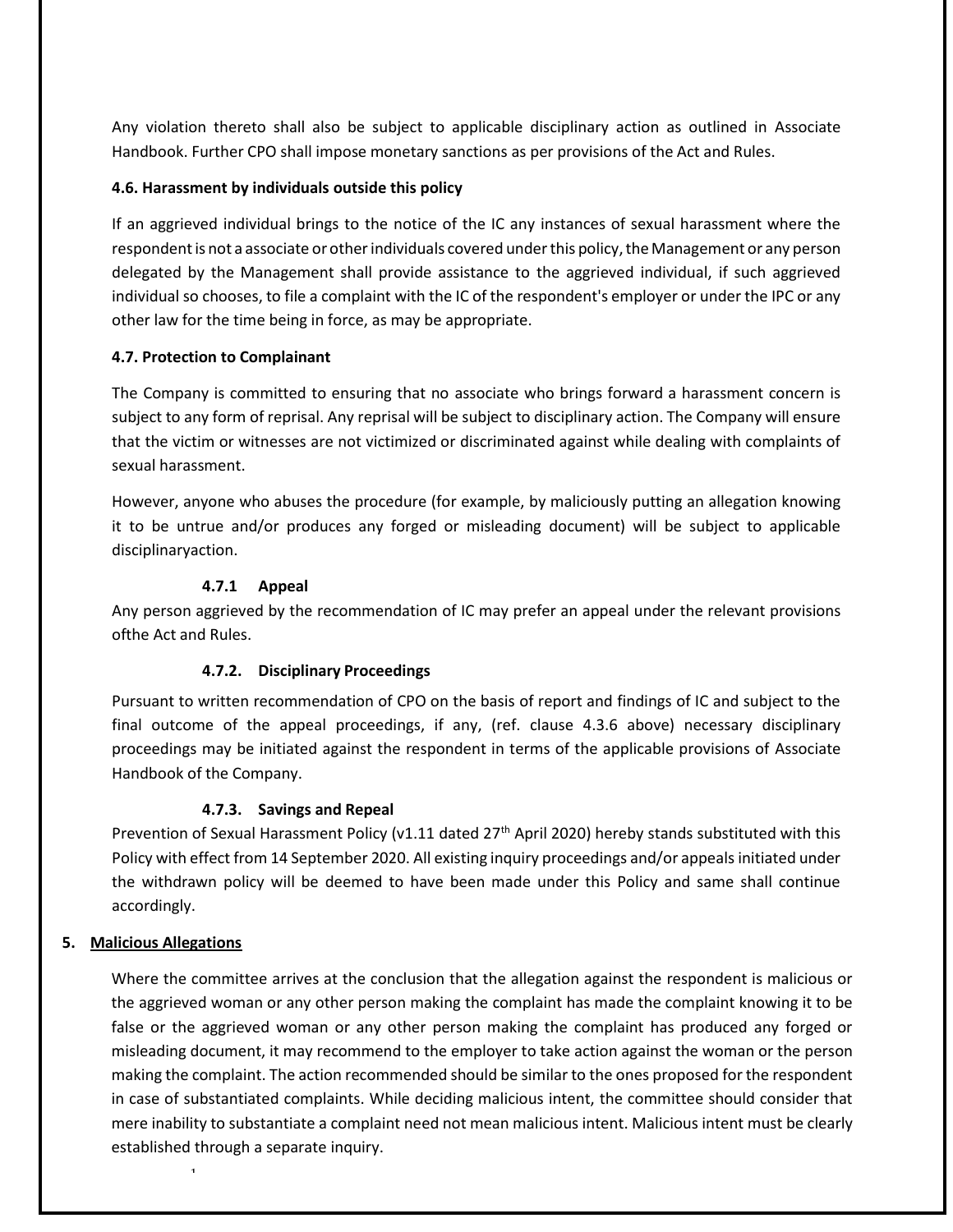Any violation thereto shall also be subject to applicable disciplinary action as outlined in Associate Handbook. Further CPO shall impose monetary sanctions as per provisions of the Act and Rules.

#### **4.6. Harassment by individuals outside this policy**

If an aggrieved individual brings to the notice of the IC any instances of sexual harassment where the respondent is not a associate or other individuals covered under this policy, the Management or any person delegated by the Management shall provide assistance to the aggrieved individual, if such aggrieved individual so chooses, to file a complaint with the IC of the respondent's employer or under the IPC or any other law for the time being in force, as may be appropriate.

# **4.7. Protection to Complainant**

The Company is committed to ensuring that no associate who brings forward a harassment concern is subject to any form of reprisal. Any reprisal will be subject to disciplinary action. The Company will ensure that the victim or witnesses are not victimized or discriminated against while dealing with complaints of sexual harassment.

However, anyone who abuses the procedure (for example, by maliciously putting an allegation knowing it to be untrue and/or produces any forged or misleading document) will be subject to applicable disciplinary action.

# **4.7.1 Appeal**

Any person aggrieved by the recommendation of IC may prefer an appeal under the relevant provisions ofthe Act and Rules.

# **4.7.2. Disciplinary Proceedings**

Pursuant to written recommendation of CPO on the basis of report and findings of IC and subject to the final outcome of the appeal proceedings, if any, (ref. clause 4.3.6 above) necessary disciplinary proceedings may be initiated against the respondent in terms of the applicable provisions of Associate Handbook of the Company.

#### **4.7.3. Savings and Repeal**

Prevention of Sexual Harassment Policy (v1.11 dated 27<sup>th</sup> April 2020) hereby stands substituted with this Policy with effect from 14 September 2020. All existing inquiry proceedings and/or appeals initiated under the withdrawn policy will be deemed to have been made under this Policy and same shall continue accordingly.

#### **5. Malicious Allegations**

1

Where the committee arrives at the conclusion that the allegation against the respondent is malicious or the aggrieved woman or any other person making the complaint has made the complaint knowing it to be false or the aggrieved woman or any other person making the complaint has produced any forged or misleading document, it may recommend to the employer to take action against the woman or the person making the complaint. The action recommended should be similar to the ones proposed for the respondent in case of substantiated complaints. While deciding malicious intent, the committee should consider that mere inability to substantiate a complaint need not mean malicious intent. Malicious intent must be clearly established through a separate inquiry.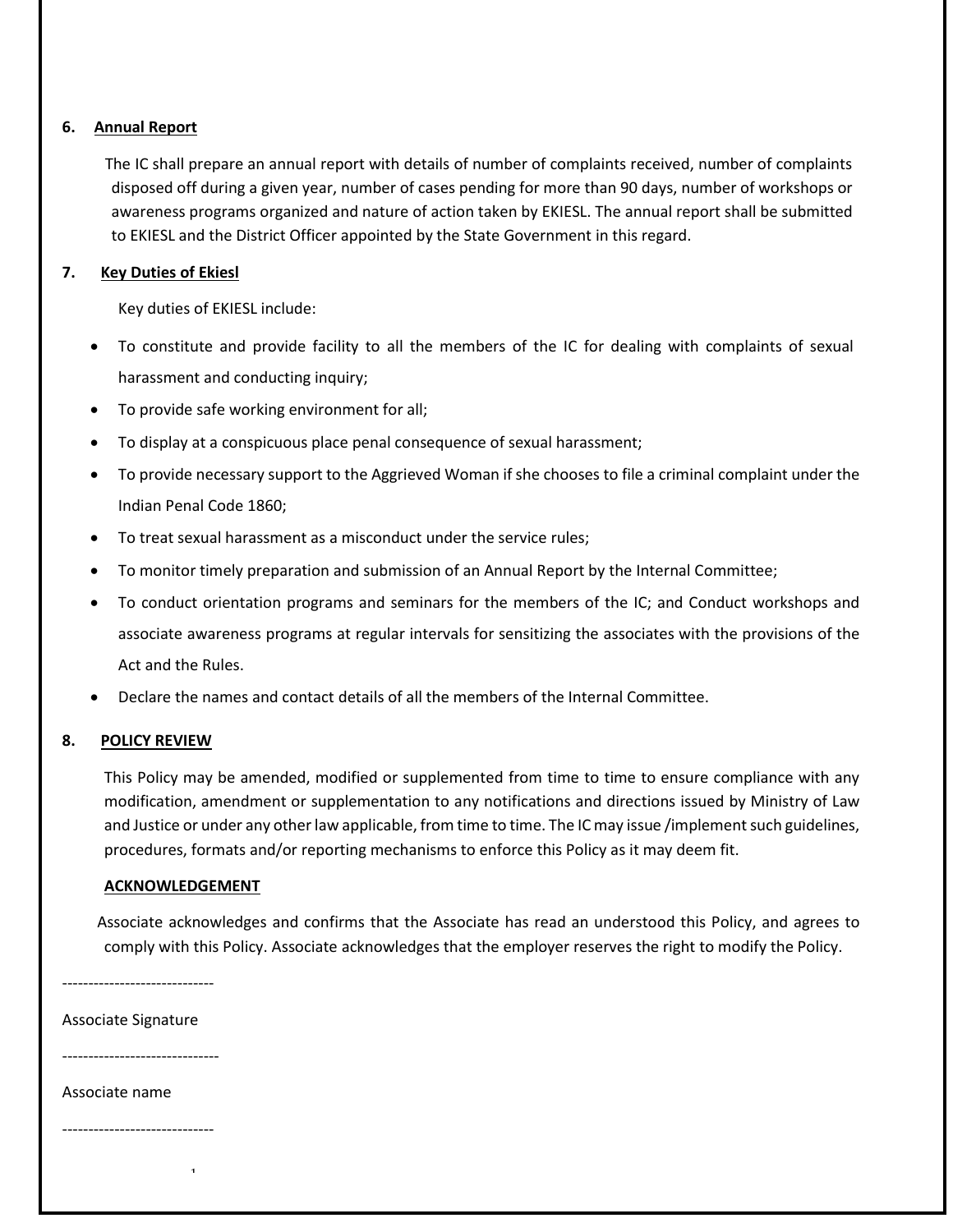# **6. Annual Report**

 The IC shall prepare an annual report with details of number of complaints received, number of complaints disposed off during a given year, number of cases pending for more than 90 days, number of workshops or awareness programs organized and nature of action taken by EKIESL. The annual report shall be submitted to EKIESL and the District Officer appointed by the State Government in this regard.

# **7. Key Duties of Ekiesl**

Key duties of EKIESL include:

- To constitute and provide facility to all the members of the IC for dealing with complaints of sexual harassment and conducting inquiry;
- To provide safe working environment for all;
- To display at a conspicuous place penal consequence of sexual harassment;
- To provide necessary support to the Aggrieved Woman if she chooses to file a criminal complaint under the Indian Penal Code 1860;
- To treat sexual harassment as a misconduct under the service rules;
- To monitor timely preparation and submission of an Annual Report by the Internal Committee;
- To conduct orientation programs and seminars for the members of the IC; and Conduct workshops and associate awareness programs at regular intervals for sensitizing the associates with the provisions of the Act and the Rules.
- Declare the names and contact details of all the members of the Internal Committee.

#### **8. POLICY REVIEW**

This Policy may be amended, modified or supplemented from time to time to ensure compliance with any modification, amendment or supplementation to any notifications and directions issued by Ministry of Law and Justice or under any other law applicable, from time to time. The IC may issue /implement such guidelines, procedures, formats and/or reporting mechanisms to enforce this Policy as it may deem fit.

#### **ACKNOWLEDGEMENT**

<span id="page-10-0"></span>1

 Associate acknowledges and confirms that the Associate has read an understood this Policy, and agrees to comply with this Policy. Associate acknowledges that the employer reserves the right to modify the Policy.

-----------------------------

Associate Signature

------------------------------

#### Associate name

-----------------------------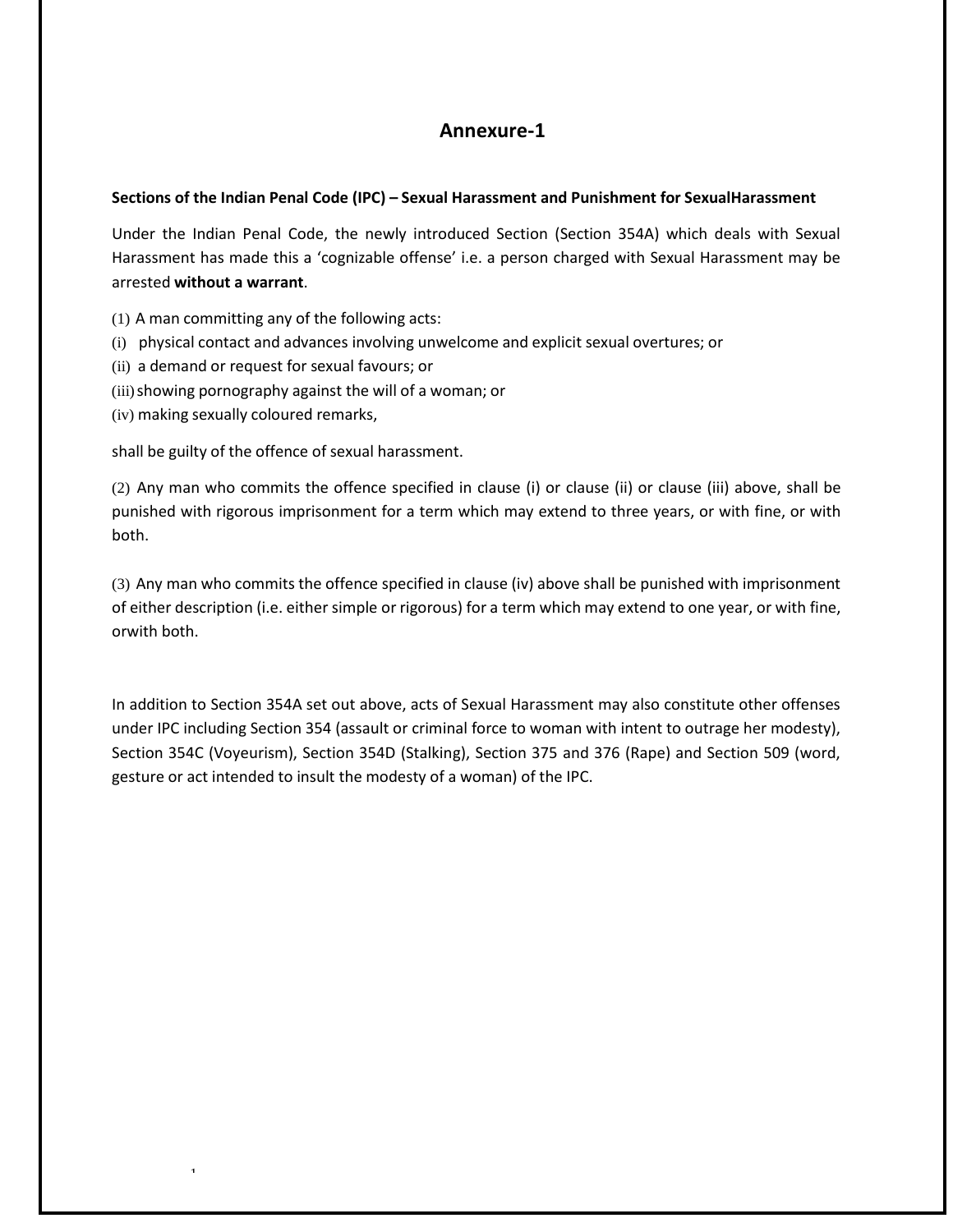# **Annexure-1**

#### **Sections of the Indian Penal Code (IPC) – Sexual Harassment and Punishment for SexualHarassment**

Under the Indian Penal Code, the newly introduced Section (Section 354A) which deals with Sexual Harassment has made this a 'cognizable offense' i.e. a person charged with Sexual Harassment may be arrested **without a warrant**.

- (1) A man committing any of the following acts:
- (i) physical contact and advances involving unwelcome and explicit sexual overtures; or
- (ii) a demand or request for sexual favours; or
- (iii)showing pornography against the will of a woman; or
- (iv) making sexually coloured remarks,

1

shall be guilty of the offence of sexual harassment.

(2) Any man who commits the offence specified in clause (i) or clause (ii) or clause (iii) above, shall be punished with rigorous imprisonment for a term which may extend to three years, or with fine, or with both.

(3) Any man who commits the offence specified in clause (iv) above shall be punished with imprisonment of either description (i.e. either simple or rigorous) for a term which may extend to one year, or with fine, orwith both.

In addition to Section 354A set out above, acts of Sexual Harassment may also constitute other offenses under IPC including Section 354 (assault or criminal force to woman with intent to outrage her modesty), Section 354C (Voyeurism), Section 354D (Stalking), Section 375 and 376 (Rape) and Section 509 (word, gesture or act intended to insult the modesty of a woman) of the IPC.